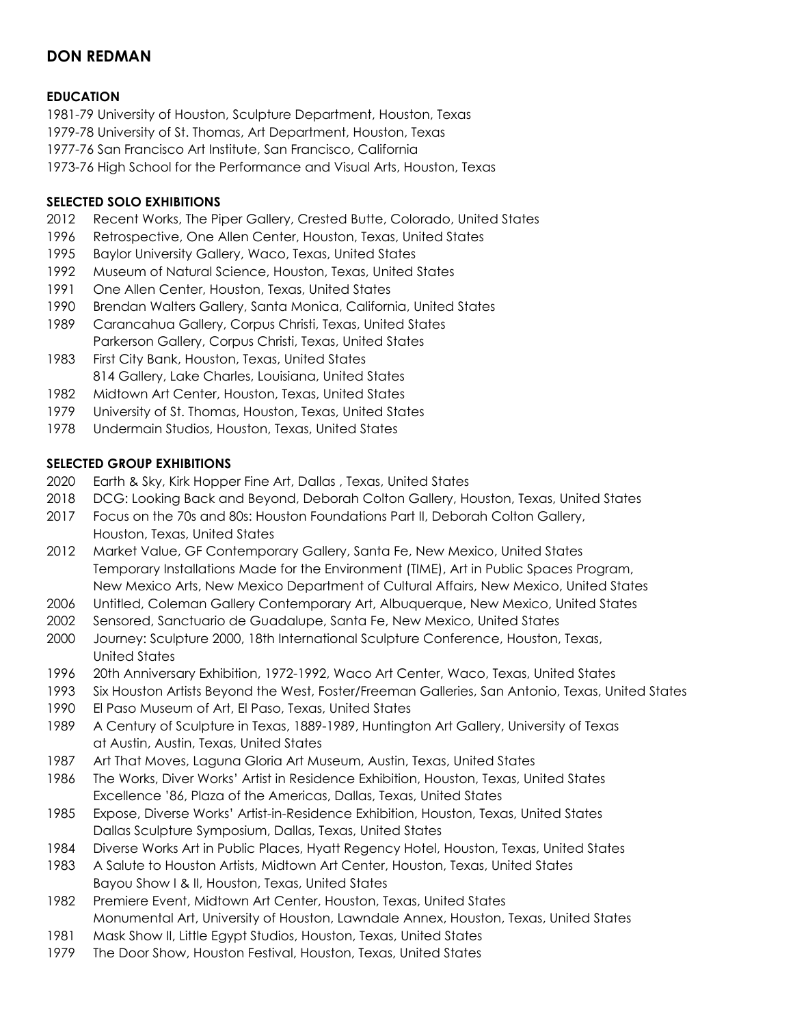# **DON REDMAN**

## **EDUCATION**

1981-79 University of Houston, Sculpture Department, Houston, Texas 1979-78 University of St. Thomas, Art Department, Houston, Texas 1977-76 San Francisco Art Institute, San Francisco, California 1973-76 High School for the Performance and Visual Arts, Houston, Texas

### **SELECTED SOLO EXHIBITIONS**

- Recent Works, The Piper Gallery, Crested Butte, Colorado, United States
- Retrospective, One Allen Center, Houston, Texas, United States
- Baylor University Gallery, Waco, Texas, United States
- Museum of Natural Science, Houston, Texas, United States
- One Allen Center, Houston, Texas, United States
- Brendan Walters Gallery, Santa Monica, California, United States
- Carancahua Gallery, Corpus Christi, Texas, United States Parkerson Gallery, Corpus Christi, Texas, United States
- First City Bank, Houston, Texas, United States Gallery, Lake Charles, Louisiana, United States
- Midtown Art Center, Houston, Texas, United States
- University of St. Thomas, Houston, Texas, United States
- Undermain Studios, Houston, Texas, United States

#### **SELECTED GROUP EXHIBITIONS**

- Earth & Sky, Kirk Hopper Fine Art, Dallas , Texas, United States
- DCG: Looking Back and Beyond, Deborah Colton Gallery, Houston, Texas, United States
- Focus on the 70s and 80s: Houston Foundations Part II, Deborah Colton Gallery, Houston, Texas, United States
- Market Value, GF Contemporary Gallery, Santa Fe, New Mexico, United States Temporary Installations Made for the Environment (TIME), Art in Public Spaces Program, New Mexico Arts, New Mexico Department of Cultural Affairs, New Mexico, United States
- Untitled, Coleman Gallery Contemporary Art, Albuquerque, New Mexico, United States
- Sensored, Sanctuario de Guadalupe, Santa Fe, New Mexico, United States
- Journey: Sculpture 2000, 18th International Sculpture Conference, Houston, Texas, United States
- 20th Anniversary Exhibition, 1972-1992, Waco Art Center, Waco, Texas, United States
- Six Houston Artists Beyond the West, Foster/Freeman Galleries, San Antonio, Texas, United States
- El Paso Museum of Art, El Paso, Texas, United States
- A Century of Sculpture in Texas, 1889-1989, Huntington Art Gallery, University of Texas at Austin, Austin, Texas, United States
- Art That Moves, Laguna Gloria Art Museum, Austin, Texas, United States
- The Works, Diver Works' Artist in Residence Exhibition, Houston, Texas, United States Excellence '86, Plaza of the Americas, Dallas, Texas, United States
- Expose, Diverse Works' Artist-in-Residence Exhibition, Houston, Texas, United States Dallas Sculpture Symposium, Dallas, Texas, United States
- Diverse Works Art in Public Places, Hyatt Regency Hotel, Houston, Texas, United States
- A Salute to Houston Artists, Midtown Art Center, Houston, Texas, United States Bayou Show I & II, Houston, Texas, United States
- Premiere Event, Midtown Art Center, Houston, Texas, United States Monumental Art, University of Houston, Lawndale Annex, Houston, Texas, United States
- Mask Show II, Little Egypt Studios, Houston, Texas, United States
- The Door Show, Houston Festival, Houston, Texas, United States